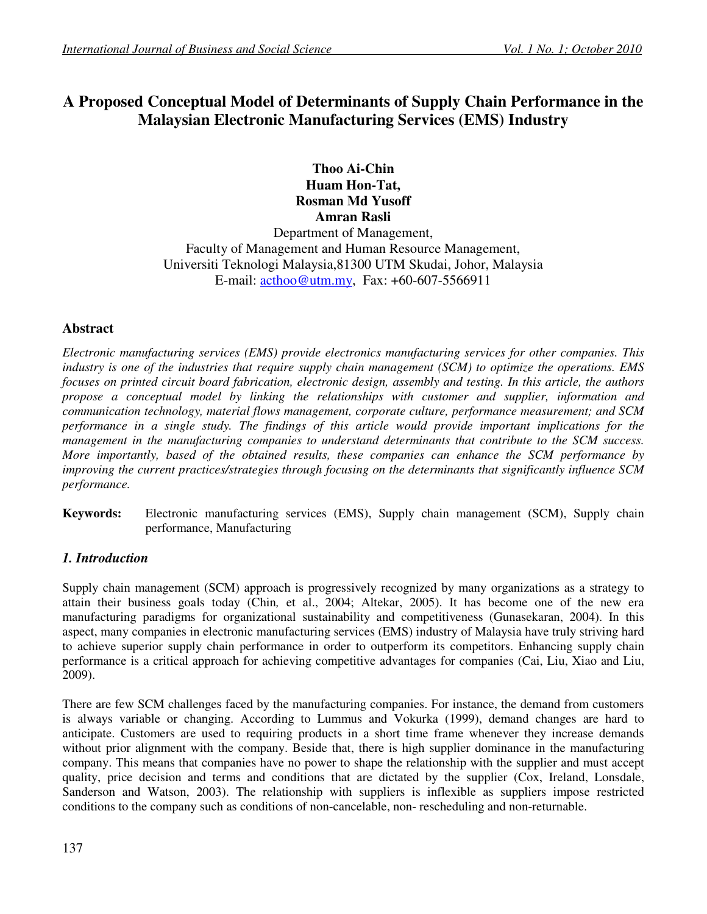# **A Proposed Conceptual Model of Determinants of Supply Chain Performance in the Malaysian Electronic Manufacturing Services (EMS) Industry**

**Thoo Ai-Chin Huam Hon-Tat, Rosman Md Yusoff Amran Rasli** 

Department of Management, Faculty of Management and Human Resource Management, Universiti Teknologi Malaysia,81300 UTM Skudai, Johor, Malaysia E-mail: acthoo@utm.my, Fax: +60-607-5566911

# **Abstract**

*Electronic manufacturing services (EMS) provide electronics manufacturing services for other companies. This industry is one of the industries that require supply chain management (SCM) to optimize the operations. EMS focuses on printed circuit board fabrication, electronic design, assembly and testing. In this article, the authors propose a conceptual model by linking the relationships with customer and supplier, information and communication technology, material flows management, corporate culture, performance measurement; and SCM performance in a single study. The findings of this article would provide important implications for the management in the manufacturing companies to understand determinants that contribute to the SCM success. More importantly, based of the obtained results, these companies can enhance the SCM performance by improving the current practices/strategies through focusing on the determinants that significantly influence SCM performance.* 

**Keywords:** Electronic manufacturing services (EMS), Supply chain management (SCM), Supply chain performance, Manufacturing

# *1. Introduction*

Supply chain management (SCM) approach is progressively recognized by many organizations as a strategy to attain their business goals today (Chin*,* et al., 2004; Altekar, 2005). It has become one of the new era manufacturing paradigms for organizational sustainability and competitiveness (Gunasekaran, 2004). In this aspect, many companies in electronic manufacturing services (EMS) industry of Malaysia have truly striving hard to achieve superior supply chain performance in order to outperform its competitors. Enhancing supply chain performance is a critical approach for achieving competitive advantages for companies (Cai, Liu, Xiao and Liu, 2009).

There are few SCM challenges faced by the manufacturing companies. For instance, the demand from customers is always variable or changing. According to Lummus and Vokurka (1999), demand changes are hard to anticipate. Customers are used to requiring products in a short time frame whenever they increase demands without prior alignment with the company. Beside that, there is high supplier dominance in the manufacturing company. This means that companies have no power to shape the relationship with the supplier and must accept quality, price decision and terms and conditions that are dictated by the supplier (Cox, Ireland, Lonsdale, Sanderson and Watson, 2003). The relationship with suppliers is inflexible as suppliers impose restricted conditions to the company such as conditions of non-cancelable, non- rescheduling and non-returnable.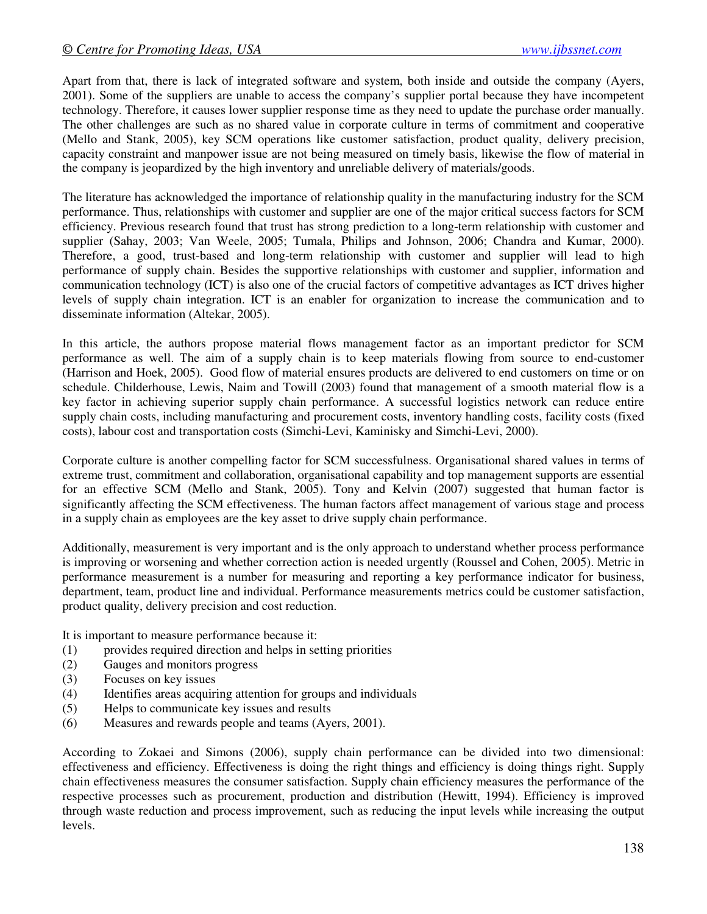Apart from that, there is lack of integrated software and system, both inside and outside the company (Ayers, 2001). Some of the suppliers are unable to access the company's supplier portal because they have incompetent technology. Therefore, it causes lower supplier response time as they need to update the purchase order manually. The other challenges are such as no shared value in corporate culture in terms of commitment and cooperative (Mello and Stank, 2005), key SCM operations like customer satisfaction, product quality, delivery precision, capacity constraint and manpower issue are not being measured on timely basis, likewise the flow of material in the company is jeopardized by the high inventory and unreliable delivery of materials/goods.

The literature has acknowledged the importance of relationship quality in the manufacturing industry for the SCM performance. Thus, relationships with customer and supplier are one of the major critical success factors for SCM efficiency. Previous research found that trust has strong prediction to a long-term relationship with customer and supplier (Sahay, 2003; Van Weele, 2005; Tumala, Philips and Johnson, 2006; Chandra and Kumar, 2000). Therefore, a good, trust-based and long-term relationship with customer and supplier will lead to high performance of supply chain. Besides the supportive relationships with customer and supplier, information and communication technology (ICT) is also one of the crucial factors of competitive advantages as ICT drives higher levels of supply chain integration. ICT is an enabler for organization to increase the communication and to disseminate information (Altekar, 2005).

In this article, the authors propose material flows management factor as an important predictor for SCM performance as well. The aim of a supply chain is to keep materials flowing from source to end-customer (Harrison and Hoek, 2005). Good flow of material ensures products are delivered to end customers on time or on schedule. Childerhouse, Lewis, Naim and Towill (2003) found that management of a smooth material flow is a key factor in achieving superior supply chain performance. A successful logistics network can reduce entire supply chain costs, including manufacturing and procurement costs, inventory handling costs, facility costs (fixed costs), labour cost and transportation costs (Simchi-Levi, Kaminisky and Simchi-Levi, 2000).

Corporate culture is another compelling factor for SCM successfulness. Organisational shared values in terms of extreme trust, commitment and collaboration, organisational capability and top management supports are essential for an effective SCM (Mello and Stank, 2005). Tony and Kelvin (2007) suggested that human factor is significantly affecting the SCM effectiveness. The human factors affect management of various stage and process in a supply chain as employees are the key asset to drive supply chain performance.

Additionally, measurement is very important and is the only approach to understand whether process performance is improving or worsening and whether correction action is needed urgently (Roussel and Cohen, 2005). Metric in performance measurement is a number for measuring and reporting a key performance indicator for business, department, team, product line and individual. Performance measurements metrics could be customer satisfaction, product quality, delivery precision and cost reduction.

It is important to measure performance because it:

- (1) provides required direction and helps in setting priorities
- (2) Gauges and monitors progress
- (3) Focuses on key issues
- (4) Identifies areas acquiring attention for groups and individuals
- (5) Helps to communicate key issues and results
- (6) Measures and rewards people and teams (Ayers, 2001).

According to Zokaei and Simons (2006), supply chain performance can be divided into two dimensional: effectiveness and efficiency. Effectiveness is doing the right things and efficiency is doing things right. Supply chain effectiveness measures the consumer satisfaction. Supply chain efficiency measures the performance of the respective processes such as procurement, production and distribution (Hewitt, 1994). Efficiency is improved through waste reduction and process improvement, such as reducing the input levels while increasing the output levels.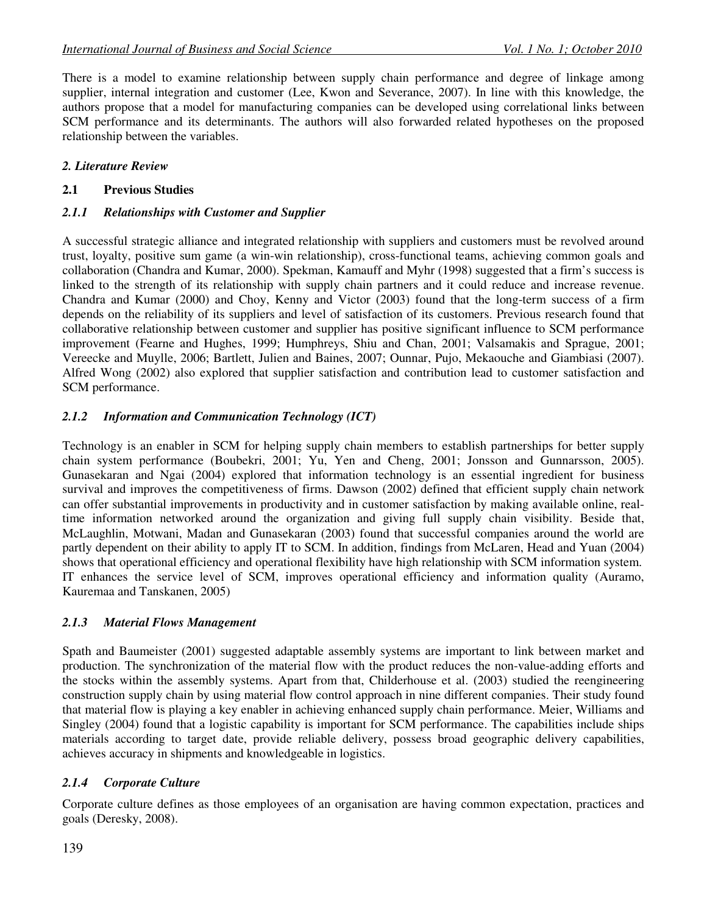There is a model to examine relationship between supply chain performance and degree of linkage among supplier, internal integration and customer (Lee, Kwon and Severance, 2007). In line with this knowledge, the authors propose that a model for manufacturing companies can be developed using correlational links between SCM performance and its determinants. The authors will also forwarded related hypotheses on the proposed relationship between the variables.

#### *2. Literature Review*

#### **2.1 Previous Studies**

#### *2.1.1 Relationships with Customer and Supplier*

A successful strategic alliance and integrated relationship with suppliers and customers must be revolved around trust, loyalty, positive sum game (a win-win relationship), cross-functional teams, achieving common goals and collaboration (Chandra and Kumar, 2000). Spekman, Kamauff and Myhr (1998) suggested that a firm's success is linked to the strength of its relationship with supply chain partners and it could reduce and increase revenue. Chandra and Kumar (2000) and Choy, Kenny and Victor (2003) found that the long-term success of a firm depends on the reliability of its suppliers and level of satisfaction of its customers. Previous research found that collaborative relationship between customer and supplier has positive significant influence to SCM performance improvement (Fearne and Hughes, 1999; Humphreys, Shiu and Chan, 2001; Valsamakis and Sprague, 2001; Vereecke and Muylle, 2006; Bartlett, Julien and Baines, 2007; Ounnar, Pujo, Mekaouche and Giambiasi (2007). Alfred Wong (2002) also explored that supplier satisfaction and contribution lead to customer satisfaction and SCM performance.

#### *2.1.2 Information and Communication Technology (ICT)*

Technology is an enabler in SCM for helping supply chain members to establish partnerships for better supply chain system performance (Boubekri, 2001; Yu, Yen and Cheng, 2001; Jonsson and Gunnarsson, 2005). Gunasekaran and Ngai (2004) explored that information technology is an essential ingredient for business survival and improves the competitiveness of firms. Dawson (2002) defined that efficient supply chain network can offer substantial improvements in productivity and in customer satisfaction by making available online, realtime information networked around the organization and giving full supply chain visibility. Beside that, McLaughlin, Motwani, Madan and Gunasekaran (2003) found that successful companies around the world are partly dependent on their ability to apply IT to SCM. In addition, findings from McLaren, Head and Yuan (2004) shows that operational efficiency and operational flexibility have high relationship with SCM information system. IT enhances the service level of SCM, improves operational efficiency and information quality (Auramo, Kauremaa and Tanskanen, 2005)

#### *2.1.3 Material Flows Management*

Spath and Baumeister (2001) suggested adaptable assembly systems are important to link between market and production. The synchronization of the material flow with the product reduces the non-value-adding efforts and the stocks within the assembly systems. Apart from that, Childerhouse et al. (2003) studied the reengineering construction supply chain by using material flow control approach in nine different companies. Their study found that material flow is playing a key enabler in achieving enhanced supply chain performance. Meier, Williams and Singley (2004) found that a logistic capability is important for SCM performance. The capabilities include ships materials according to target date, provide reliable delivery, possess broad geographic delivery capabilities, achieves accuracy in shipments and knowledgeable in logistics.

# *2.1.4 Corporate Culture*

Corporate culture defines as those employees of an organisation are having common expectation, practices and goals (Deresky, 2008).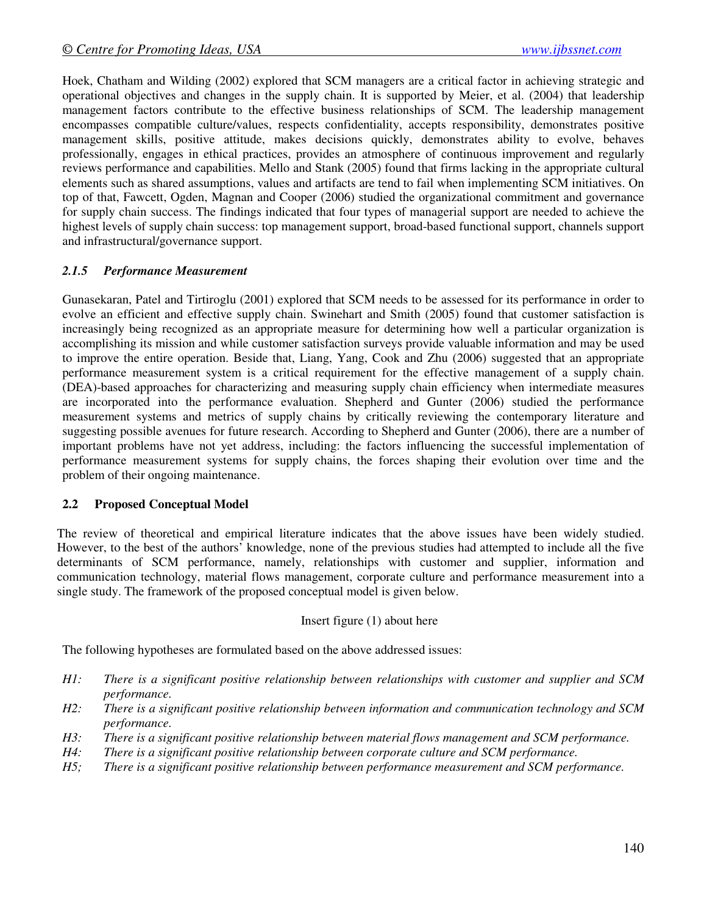Hoek, Chatham and Wilding (2002) explored that SCM managers are a critical factor in achieving strategic and operational objectives and changes in the supply chain. It is supported by Meier, et al. (2004) that leadership management factors contribute to the effective business relationships of SCM. The leadership management encompasses compatible culture/values, respects confidentiality, accepts responsibility, demonstrates positive management skills, positive attitude, makes decisions quickly, demonstrates ability to evolve, behaves professionally, engages in ethical practices, provides an atmosphere of continuous improvement and regularly reviews performance and capabilities. Mello and Stank (2005) found that firms lacking in the appropriate cultural elements such as shared assumptions, values and artifacts are tend to fail when implementing SCM initiatives. On top of that, Fawcett, Ogden, Magnan and Cooper (2006) studied the organizational commitment and governance for supply chain success. The findings indicated that four types of managerial support are needed to achieve the highest levels of supply chain success: top management support, broad-based functional support, channels support and infrastructural/governance support.

#### *2.1.5 Performance Measurement*

Gunasekaran, Patel and Tirtiroglu (2001) explored that SCM needs to be assessed for its performance in order to evolve an efficient and effective supply chain. Swinehart and Smith (2005) found that customer satisfaction is increasingly being recognized as an appropriate measure for determining how well a particular organization is accomplishing its mission and while customer satisfaction surveys provide valuable information and may be used to improve the entire operation. Beside that, Liang, Yang, Cook and Zhu (2006) suggested that an appropriate performance measurement system is a critical requirement for the effective management of a supply chain. (DEA)-based approaches for characterizing and measuring supply chain efficiency when intermediate measures are incorporated into the performance evaluation. Shepherd and Gunter (2006) studied the performance measurement systems and metrics of supply chains by critically reviewing the contemporary literature and suggesting possible avenues for future research. According to Shepherd and Gunter (2006), there are a number of important problems have not yet address, including: the factors influencing the successful implementation of performance measurement systems for supply chains, the forces shaping their evolution over time and the problem of their ongoing maintenance.

#### **2.2 Proposed Conceptual Model**

The review of theoretical and empirical literature indicates that the above issues have been widely studied. However, to the best of the authors' knowledge, none of the previous studies had attempted to include all the five determinants of SCM performance, namely, relationships with customer and supplier, information and communication technology, material flows management, corporate culture and performance measurement into a single study. The framework of the proposed conceptual model is given below.

#### Insert figure (1) about here

The following hypotheses are formulated based on the above addressed issues:

- *H1: There is a significant positive relationship between relationships with customer and supplier and SCM performance.*
- *H2: There is a significant positive relationship between information and communication technology and SCM performance.*
- *H3: There is a significant positive relationship between material flows management and SCM performance.*
- *H4: There is a significant positive relationship between corporate culture and SCM performance.*
- *H5; There is a significant positive relationship between performance measurement and SCM performance.*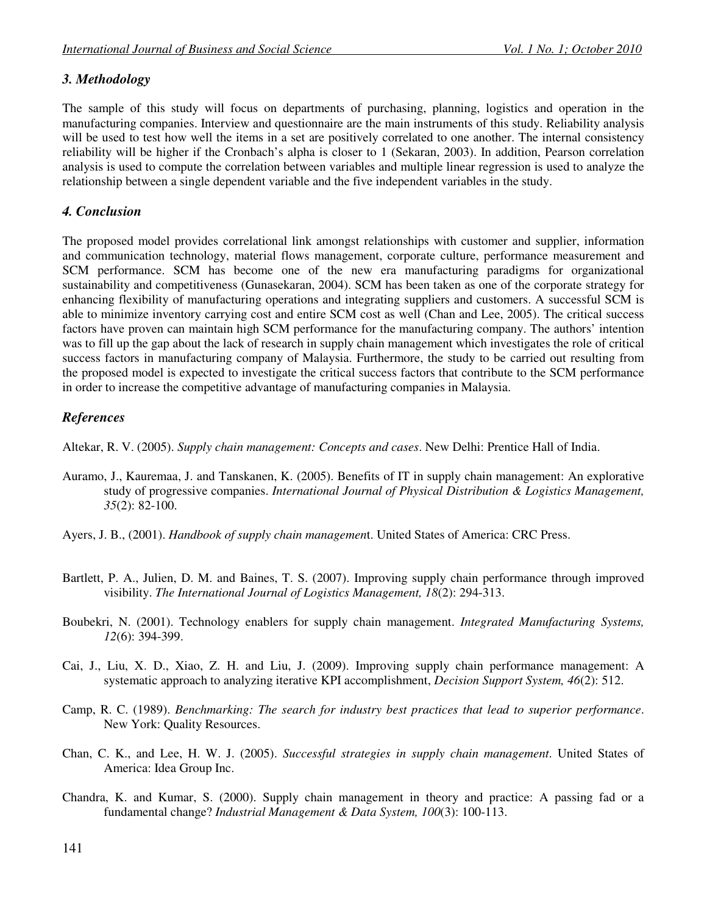# *3. Methodology*

The sample of this study will focus on departments of purchasing, planning, logistics and operation in the manufacturing companies. Interview and questionnaire are the main instruments of this study. Reliability analysis will be used to test how well the items in a set are positively correlated to one another. The internal consistency reliability will be higher if the Cronbach's alpha is closer to 1 (Sekaran, 2003). In addition, Pearson correlation analysis is used to compute the correlation between variables and multiple linear regression is used to analyze the relationship between a single dependent variable and the five independent variables in the study.

#### *4. Conclusion*

The proposed model provides correlational link amongst relationships with customer and supplier, information and communication technology, material flows management, corporate culture, performance measurement and SCM performance. SCM has become one of the new era manufacturing paradigms for organizational sustainability and competitiveness (Gunasekaran, 2004). SCM has been taken as one of the corporate strategy for enhancing flexibility of manufacturing operations and integrating suppliers and customers. A successful SCM is able to minimize inventory carrying cost and entire SCM cost as well (Chan and Lee, 2005). The critical success factors have proven can maintain high SCM performance for the manufacturing company. The authors' intention was to fill up the gap about the lack of research in supply chain management which investigates the role of critical success factors in manufacturing company of Malaysia. Furthermore, the study to be carried out resulting from the proposed model is expected to investigate the critical success factors that contribute to the SCM performance in order to increase the competitive advantage of manufacturing companies in Malaysia.

# *References*

Altekar, R. V. (2005). *Supply chain management: Concepts and cases*. New Delhi: Prentice Hall of India.

- Auramo, J., Kauremaa, J. and Tanskanen, K. (2005). Benefits of IT in supply chain management: An explorative study of progressive companies. *International Journal of Physical Distribution & Logistics Management, 35*(2): 82-100.
- Ayers, J. B., (2001). *Handbook of supply chain managemen*t. United States of America: CRC Press.
- Bartlett, P. A., Julien, D. M. and Baines, T. S. (2007). Improving supply chain performance through improved visibility. *The International Journal of Logistics Management, 18*(2): 294-313.
- Boubekri, N. (2001). Technology enablers for supply chain management. *Integrated Manufacturing Systems, 12*(6): 394-399.
- Cai, J., Liu, X. D., Xiao, Z. H. and Liu, J. (2009). Improving supply chain performance management: A systematic approach to analyzing iterative KPI accomplishment, *Decision Support System, 46*(2): 512.
- Camp, R. C. (1989). *Benchmarking: The search for industry best practices that lead to superior performance*. New York: Quality Resources.
- Chan, C. K., and Lee, H. W. J. (2005). *Successful strategies in supply chain management*. United States of America: Idea Group Inc.
- Chandra, K. and Kumar, S. (2000). Supply chain management in theory and practice: A passing fad or a fundamental change? *Industrial Management & Data System, 100*(3): 100-113.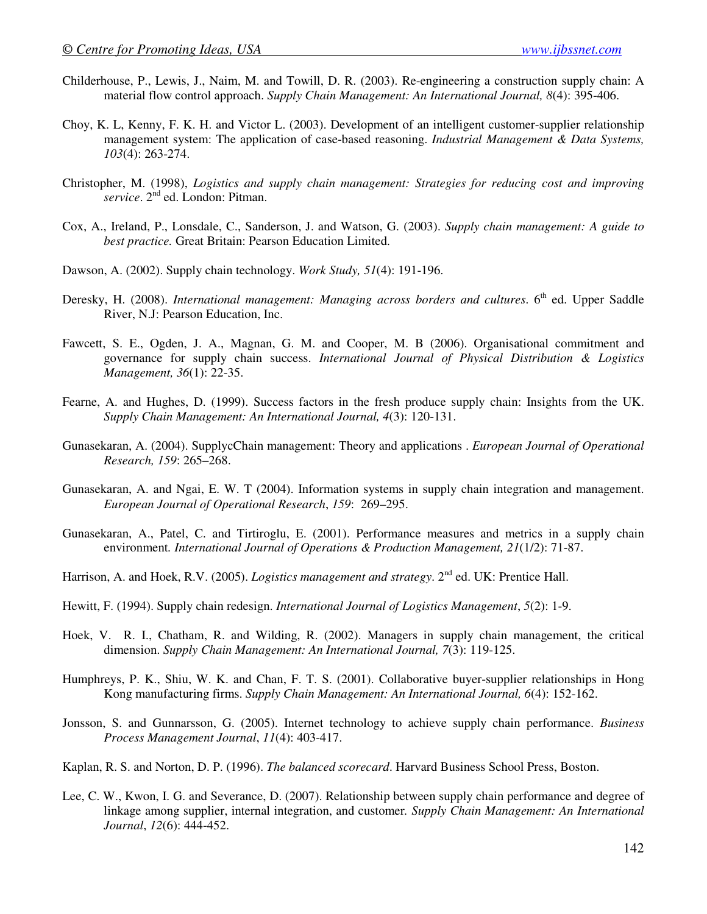- Childerhouse, P., Lewis, J., Naim, M. and Towill, D. R. (2003). Re-engineering a construction supply chain: A material flow control approach. *Supply Chain Management: An International Journal, 8*(4): 395-406.
- Choy, K. L, Kenny, F. K. H. and Victor L. (2003). Development of an intelligent customer-supplier relationship management system: The application of case-based reasoning. *Industrial Management & Data Systems, 103*(4): 263-274.
- Christopher, M. (1998), *Logistics and supply chain management: Strategies for reducing cost and improving*  service. 2<sup>nd</sup> ed. London: Pitman.
- Cox, A., Ireland, P., Lonsdale, C., Sanderson, J. and Watson, G. (2003). *Supply chain management: A guide to best practice.* Great Britain: Pearson Education Limited.
- Dawson, A. (2002). Supply chain technology. *Work Study, 51*(4): 191-196.
- Deresky, H. (2008). *International management: Managing across borders and cultures*. 6<sup>th</sup> ed. Upper Saddle River, N.J: Pearson Education, Inc.
- Fawcett, S. E., Ogden, J. A., Magnan, G. M. and Cooper, M. B (2006). Organisational commitment and governance for supply chain success. *International Journal of Physical Distribution & Logistics Management, 36*(1): 22-35.
- Fearne, A. and Hughes, D. (1999). Success factors in the fresh produce supply chain: Insights from the UK. *Supply Chain Management: An International Journal, 4*(3): 120-131.
- Gunasekaran, A. (2004). SupplycChain management: Theory and applications . *European Journal of Operational Research, 159*: 265–268.
- Gunasekaran, A. and Ngai, E. W. T (2004). Information systems in supply chain integration and management. *European Journal of Operational Research*, *159*: 269–295.
- Gunasekaran, A., Patel, C. and Tirtiroglu, E. (2001). Performance measures and metrics in a supply chain environment*. International Journal of Operations & Production Management, 21*(1/2): 71-87.
- Harrison, A. and Hoek, R.V. (2005). *Logistics management and strategy*. 2<sup>nd</sup> ed. UK: Prentice Hall.
- Hewitt, F. (1994). Supply chain redesign. *International Journal of Logistics Management*, *5*(2): 1-9.
- Hoek, V. R. I., Chatham, R. and Wilding, R. (2002). Managers in supply chain management, the critical dimension. *Supply Chain Management: An International Journal, 7*(3): 119-125.
- Humphreys, P. K., Shiu, W. K. and Chan, F. T. S. (2001). Collaborative buyer-supplier relationships in Hong Kong manufacturing firms. *Supply Chain Management: An International Journal, 6*(4): 152-162.
- Jonsson, S. and Gunnarsson, G. (2005). Internet technology to achieve supply chain performance. *Business Process Management Journal*, *11*(4): 403-417.
- Kaplan, R. S. and Norton, D. P. (1996). *The balanced scorecard*. Harvard Business School Press, Boston.
- Lee, C. W., Kwon, I. G. and Severance, D. (2007). Relationship between supply chain performance and degree of linkage among supplier, internal integration, and customer*. Supply Chain Management: An International Journal*, *12*(6): 444-452.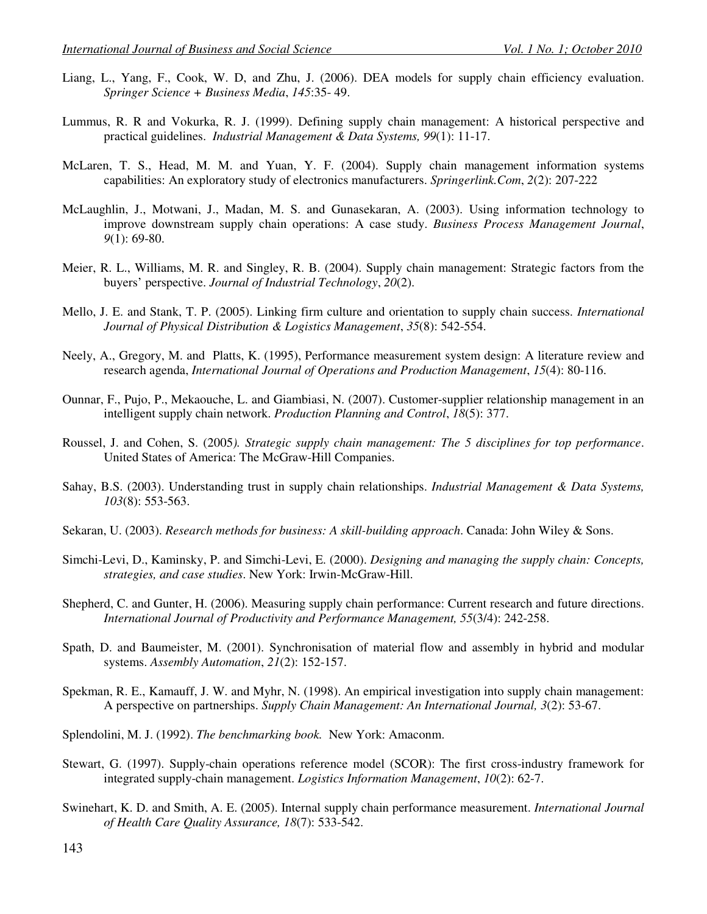- Liang, L., Yang, F., Cook, W. D, and Zhu, J. (2006). DEA models for supply chain efficiency evaluation. *Springer Science + Business Media*, *145*:35- 49.
- Lummus, R. R and Vokurka, R. J. (1999). Defining supply chain management: A historical perspective and practical guidelines. *Industrial Management & Data Systems, 99*(1): 11-17.
- McLaren, T. S., Head, M. M. and Yuan, Y. F. (2004). Supply chain management information systems capabilities: An exploratory study of electronics manufacturers. *Springerlink.Com*, *2*(2): 207-222
- McLaughlin, J., Motwani, J., Madan, M. S. and Gunasekaran, A. (2003). Using information technology to improve downstream supply chain operations: A case study. *Business Process Management Journal*, *9*(1): 69-80.
- Meier, R. L., Williams, M. R. and Singley, R. B. (2004). Supply chain management: Strategic factors from the buyers' perspective. *Journal of Industrial Technology*, *20*(2).
- Mello, J. E. and Stank, T. P. (2005). Linking firm culture and orientation to supply chain success. *International Journal of Physical Distribution & Logistics Management*, *35*(8): 542-554.
- Neely, A., Gregory, M. and Platts, K. (1995), Performance measurement system design: A literature review and research agenda, *International Journal of Operations and Production Management*, *15*(4): 80-116.
- Ounnar, F., Pujo, P., Mekaouche, L. and Giambiasi, N. (2007). Customer-supplier relationship management in an intelligent supply chain network. *Production Planning and Control*, *18*(5): 377.
- Roussel, J. and Cohen, S. (2005*). Strategic supply chain management: The 5 disciplines for top performance*. United States of America: The McGraw-Hill Companies.
- Sahay, B.S. (2003). Understanding trust in supply chain relationships. *Industrial Management & Data Systems, 103*(8): 553-563.
- Sekaran, U. (2003). *Research methods for business: A skill-building approach*. Canada: John Wiley & Sons.
- Simchi-Levi, D., Kaminsky, P. and Simchi-Levi, E. (2000). *Designing and managing the supply chain: Concepts, strategies, and case studies*. New York: Irwin-McGraw-Hill.
- Shepherd, C. and Gunter, H. (2006). Measuring supply chain performance: Current research and future directions. *International Journal of Productivity and Performance Management, 55*(3/4): 242-258.
- Spath, D. and Baumeister, M. (2001). Synchronisation of material flow and assembly in hybrid and modular systems. *Assembly Automation*, *21*(2): 152-157.
- Spekman, R. E., Kamauff, J. W. and Myhr, N. (1998). An empirical investigation into supply chain management: A perspective on partnerships. *Supply Chain Management: An International Journal, 3*(2): 53-67.
- Splendolini, M. J. (1992). *The benchmarking book.* New York: Amaconm.
- Stewart, G. (1997). Supply-chain operations reference model (SCOR): The first cross-industry framework for integrated supply-chain management. *Logistics Information Management*, *10*(2): 62-7.
- Swinehart, K. D. and Smith, A. E. (2005). Internal supply chain performance measurement. *International Journal of Health Care Quality Assurance, 18*(7): 533-542.